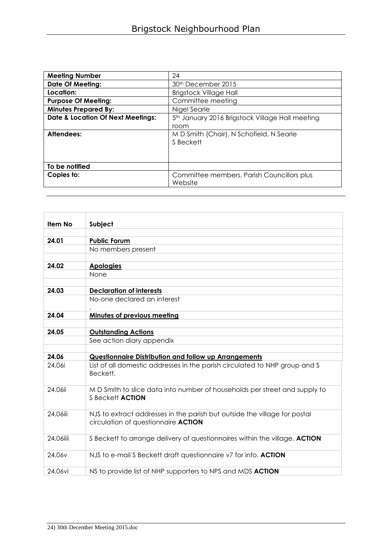| <b>Meeting Number</b>                        | 24                                                          |
|----------------------------------------------|-------------------------------------------------------------|
| <b>Date Of Meeting:</b>                      | 30 <sup>th</sup> December 2015                              |
| Location:                                    | <b>Brigstock Village Hall</b>                               |
| <b>Purpose Of Meeting:</b>                   | Committee meeting                                           |
| <b>Minutes Prepared By:</b>                  | Nigel Searle                                                |
| <b>Date &amp; Location Of Next Meetings:</b> | 5 <sup>th</sup> January 2016 Brigstock Village Hall meeting |
|                                              | room                                                        |
| Attendees:                                   | M D Smith (Chair), N Schofield, N Searle<br>S Beckett       |
|                                              |                                                             |
| To be notified                               |                                                             |
| Copies to:                                   | Committee members, Parish Councillors plus<br>Website       |

| Item No            | Subject                                                                                                                 |
|--------------------|-------------------------------------------------------------------------------------------------------------------------|
|                    |                                                                                                                         |
| 24.01              | <b>Public Forum</b>                                                                                                     |
|                    | No members present                                                                                                      |
|                    |                                                                                                                         |
| 24.02              | <b>Apologies</b>                                                                                                        |
|                    | None                                                                                                                    |
|                    |                                                                                                                         |
| 24.03              | <b>Declaration of interests</b><br>No-one declared an interest                                                          |
|                    |                                                                                                                         |
| 24.04              | <b>Minutes of previous meeting</b>                                                                                      |
|                    |                                                                                                                         |
| 24.05              | <b>Outstanding Actions</b>                                                                                              |
|                    | See action diary appendix                                                                                               |
|                    |                                                                                                                         |
| 24.06              | Questionnaire Distribution and follow up Arrangements                                                                   |
| 24.06i             | List of all domestic addresses in the parish circulated to NHP group and S<br>Beckett.                                  |
| 24.06ii            | MD Smith to slice data into number of households per street and supply to<br>S Beckett <b>ACTION</b>                    |
| 24.06iii           | NJS to extract addresses in the parish but outside the village for postal<br>circulation of questionnaire <b>ACTION</b> |
| 24.06iiii          | S Beckett to arrange delivery of questionnaires within the village. ACTION                                              |
| 24.06 <sub>v</sub> | NJS to e-mail S Beckett draft questionnaire v7 for info. ACTION                                                         |
| 24.06vi            | NS to provide list of NHP supporters to NPS and MDS ACTION                                                              |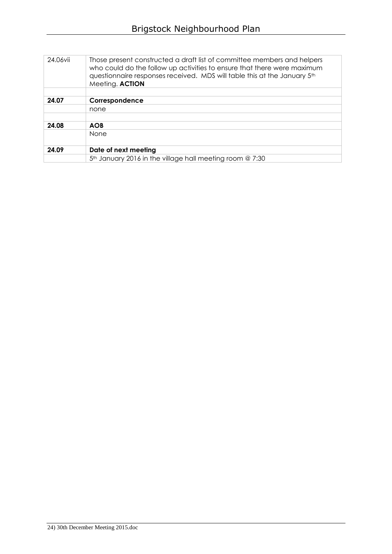| 24.06vii | Those present constructed a draft list of committee members and helpers<br>who could do the follow up activities to ensure that there were maximum<br>questionnaire responses received. MDS will table this at the January 5th<br>Meeting. ACTION |
|----------|---------------------------------------------------------------------------------------------------------------------------------------------------------------------------------------------------------------------------------------------------|
|          |                                                                                                                                                                                                                                                   |
| 24.07    | Correspondence                                                                                                                                                                                                                                    |
|          | none                                                                                                                                                                                                                                              |
|          |                                                                                                                                                                                                                                                   |
| 24.08    | <b>AOB</b>                                                                                                                                                                                                                                        |
|          | None                                                                                                                                                                                                                                              |
| 24.09    | Date of next meeting                                                                                                                                                                                                                              |
|          | 5th January 2016 in the village hall meeting room @ 7:30                                                                                                                                                                                          |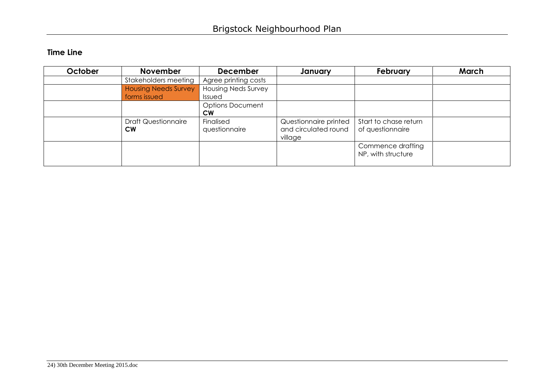## **Time Line**

| October | <b>November</b>             | <b>December</b>            | January               | <b>February</b>                         | March |
|---------|-----------------------------|----------------------------|-----------------------|-----------------------------------------|-------|
|         | Stakeholders meeting        | Agree printing costs       |                       |                                         |       |
|         | <b>Housing Needs Survey</b> | <b>Housing Neds Survey</b> |                       |                                         |       |
|         | forms issued                | Issued                     |                       |                                         |       |
|         |                             | <b>Options Document</b>    |                       |                                         |       |
|         |                             | <b>CW</b>                  |                       |                                         |       |
|         | <b>Draft Questionnaire</b>  | Finalised                  | Questionnaire printed | Start to chase return                   |       |
|         | <b>CW</b>                   | questionnaire              | and circulated round  | of questionnaire                        |       |
|         |                             |                            | village               |                                         |       |
|         |                             |                            |                       | Commence drafting<br>NP, with structure |       |
|         |                             |                            |                       |                                         |       |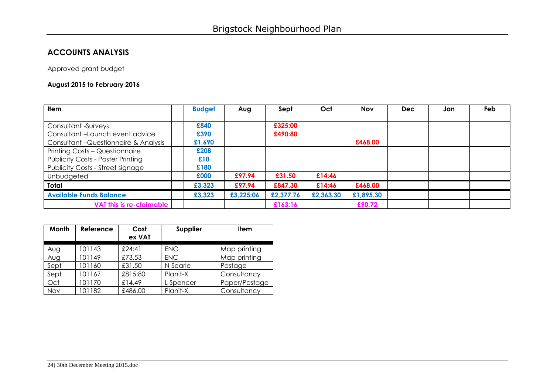## **ACCOUNTS ANALYSIS**

Approved grant budget

## **August 2015 to February 2016**

| <b>Item</b>                              | <b>Budget</b> | Aug       | Sept      | Oct       | <b>Nov</b> | <b>Dec</b> | Jan | Feb |
|------------------------------------------|---------------|-----------|-----------|-----------|------------|------------|-----|-----|
|                                          |               |           |           |           |            |            |     |     |
| Consultant -Surveys                      | £840          |           | £325:00   |           |            |            |     |     |
| Consultant-Launch event advice           | £390          |           | £490:80   |           |            |            |     |     |
| Consultant - Questionnaire & Analysis    | £1,690        |           |           |           | £468.00    |            |     |     |
| Printing Costs - Questionnaire           | £208          |           |           |           |            |            |     |     |
| <b>Publicity Costs - Poster Printing</b> | £10           |           |           |           |            |            |     |     |
| Publicity Costs - Street signage         | £180          |           |           |           |            |            |     |     |
| Unbudgeted                               | £000          | £97.94    | £31.50    | £14:46    |            |            |     |     |
| Total                                    | £3,323        | £97.94    | £847.30   | £14:46    | £468.00    |            |     |     |
| <b>Available Funds Balance</b>           | £3,323        | £3,225:06 | £2,377.76 | £2,363.30 | £1,895.30  |            |     |     |
| VAT this is re-claimable                 |               |           | £163:16   |           | £90.72     |            |     |     |

| Month | Reference | Cost<br>ex VAT | Supplier   | <b>Item</b>   |
|-------|-----------|----------------|------------|---------------|
| Aug   | 101143    | £24:41         | <b>ENC</b> | Map printing  |
| Aug   | 101149    | £73.53         | <b>ENC</b> | Map printing  |
| Sept  | 101160    | £31.50         | N Searle   | Postage       |
| Sept  | 101167    | £815:80        | Planit-X   | Consultancy   |
| Oct   | 101170    | £14.49         | L Spencer  | Paper/Postage |
| Nov   | 101182    | £486.00        | Planit-X   | Consultancy   |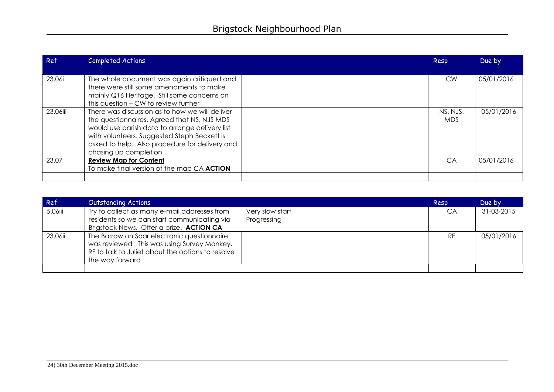| Ref      | <b>Completed Actions</b>                                                                                                                                                                                                                                                  | Resp                   | Due by     |
|----------|---------------------------------------------------------------------------------------------------------------------------------------------------------------------------------------------------------------------------------------------------------------------------|------------------------|------------|
| 23.06i   | The whole document was again critiqued and<br>there were still some amendments to make<br>mainly Q16 Heritage. Still some concerns on<br>this question – CW to review further                                                                                             | <b>CW</b>              | 05/01/2016 |
| 23.06iii | There was discussion as to how we will deliver<br>the questionnaires. Agreed that NS, NJS MDS<br>would use parish data to arrange delivery list<br>with volunteers. Suggested Steph Beckett is<br>asked to help. Also procedure for delivery and<br>chasing up completion | NS. NJS.<br><b>MDS</b> | 05/01/2016 |
| 23.07    | <b>Review Map for Content</b><br>To make final version of the map CA ACTION                                                                                                                                                                                               | CA                     | 05/01/2016 |
|          |                                                                                                                                                                                                                                                                           |                        |            |

| Ref     | <b>Outstanding Actions</b>                                                                                                                                        |                                | Resp | Due by     |
|---------|-------------------------------------------------------------------------------------------------------------------------------------------------------------------|--------------------------------|------|------------|
| 5.06iii | Try to collect as many e-mail addresses from<br>residents so we can start communicating via<br>Brigstock News. Offer a prize. ACTION CA                           | Very slow start<br>Progressing | CA   | 31-03-2015 |
| 23.06ii | The Barrow on Soar electronic questionnaire<br>was reviewed This was using Survey Monkey.<br>RF to talk to Juliet about the options to resolve<br>the way forward |                                | RF   | 05/01/2016 |
|         |                                                                                                                                                                   |                                |      |            |